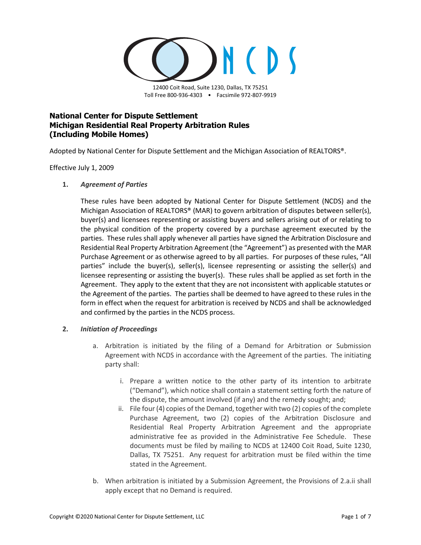

12400 Coit Road, Suite 1230, Dallas, TX 75251 Toll Free 800-936-4303 • Facsimile 972-807-9919

# **National Center for Dispute Settlement Michigan Residential Real Property Arbitration Rules (Including Mobile Homes)**

Adopted by National Center for Dispute Settlement and the Michigan Association of REALTORS®.

Effective July 1, 2009

**1.** *Agreement of Parties*

These rules have been adopted by National Center for Dispute Settlement (NCDS) and the Michigan Association of REALTORS® (MAR) to govern arbitration of disputes between seller(s), buyer(s) and licensees representing or assisting buyers and sellers arising out of or relating to the physical condition of the property covered by a purchase agreement executed by the parties. These rules shall apply whenever all parties have signed the Arbitration Disclosure and Residential Real Property Arbitration Agreement (the "Agreement") as presented with the MAR Purchase Agreement or as otherwise agreed to by all parties. For purposes of these rules, "All parties" include the buyer(s), seller(s), licensee representing or assisting the seller(s) and licensee representing or assisting the buyer(s). These rules shall be applied as set forth in the Agreement. They apply to the extent that they are not inconsistent with applicable statutes or the Agreement of the parties. The parties shall be deemed to have agreed to these rules in the form in effect when the request for arbitration is received by NCDS and shall be acknowledged and confirmed by the parties in the NCDS process.

# <span id="page-0-1"></span>**2.** *Initiation of Proceedings*

- <span id="page-0-0"></span>a. Arbitration is initiated by the filing of a Demand for Arbitration or Submission Agreement with NCDS in accordance with the Agreement of the parties. The initiating party shall:
	- i. Prepare a written notice to the other party of its intention to arbitrate ("Demand"), which notice shall contain a statement setting forth the nature of the dispute, the amount involved (if any) and the remedy sought; and;
	- ii. File four (4) copies of the Demand, together with two (2) copies of the complete Purchase Agreement, two (2) copies of the Arbitration Disclosure and Residential Real Property Arbitration Agreement and the appropriate administrative fee as provided in the Administrative Fee Schedule. These documents must be filed by mailing to NCDS at 12400 Coit Road, Suite 1230, Dallas, TX 75251. Any request for arbitration must be filed within the time stated in the Agreement.
- b. When arbitration is initiated by a Submission Agreement, the Provisions of [2.a.ii](#page-0-0) shall apply except that no Demand is required.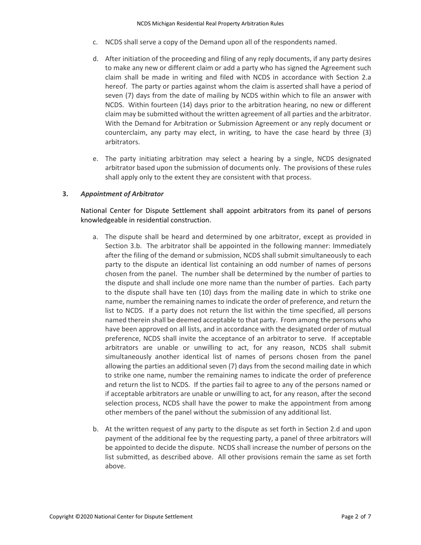- c. NCDS shall serve a copy of the Demand upon all of the respondents named.
- <span id="page-1-1"></span>d. After initiation of the proceeding and filing of any reply documents, if any party desires to make any new or different claim or add a party who has signed the Agreement such claim shall be made in writing and filed with NCDS in accordance with Section [2.a](#page-0-1) hereof. The party or parties against whom the claim is asserted shall have a period of seven (7) days from the date of mailing by NCDS within which to file an answer with NCDS. Within fourteen (14) days prior to the arbitration hearing, no new or different claim may be submitted without the written agreement of all parties and the arbitrator. With the Demand for Arbitration or Submission Agreement or any reply document or counterclaim, any party may elect, in writing, to have the case heard by three (3) arbitrators.
- e. The party initiating arbitration may select a hearing by a single, NCDS designated arbitrator based upon the submission of documents only. The provisions of these rules shall apply only to the extent they are consistent with that process.

# **3.** *Appointment of Arbitrator*

National Center for Dispute Settlement shall appoint arbitrators from its panel of persons knowledgeable in residential construction.

- a. The dispute shall be heard and determined by one arbitrator, except as provided in Section [3.b.](#page-1-0) The arbitrator shall be appointed in the following manner: Immediately after the filing of the demand or submission, NCDS shall submit simultaneously to each party to the dispute an identical list containing an odd number of names of persons chosen from the panel. The number shall be determined by the number of parties to the dispute and shall include one more name than the number of parties. Each party to the dispute shall have ten (10) days from the mailing date in which to strike one name, number the remaining names to indicate the order of preference, and return the list to NCDS. If a party does not return the list within the time specified, all persons named therein shall be deemed acceptable to that party. From among the persons who have been approved on all lists, and in accordance with the designated order of mutual preference, NCDS shall invite the acceptance of an arbitrator to serve. If acceptable arbitrators are unable or unwilling to act, for any reason, NCDS shall submit simultaneously another identical list of names of persons chosen from the panel allowing the parties an additional seven (7) days from the second mailing date in which to strike one name, number the remaining names to indicate the order of preference and return the list to NCDS. If the parties fail to agree to any of the persons named or if acceptable arbitrators are unable or unwilling to act, for any reason, after the second selection process, NCDS shall have the power to make the appointment from among other members of the panel without the submission of any additional list.
- <span id="page-1-0"></span>b. At the written request of any party to the dispute as set forth in Section [2.d](#page-1-1) and upon payment of the additional fee by the requesting party, a panel of three arbitrators will be appointed to decide the dispute. NCDS shall increase the number of persons on the list submitted, as described above. All other provisions remain the same as set forth above.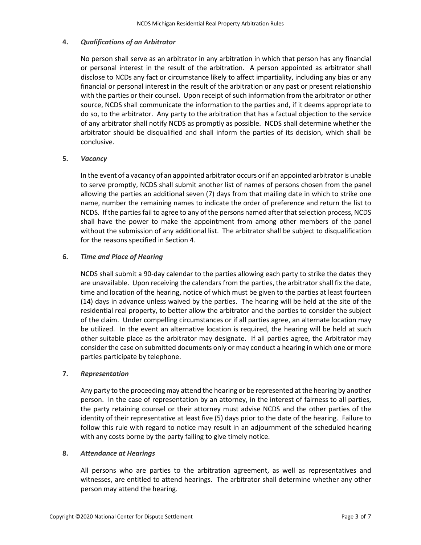# <span id="page-2-0"></span>**4.** *Qualifications of an Arbitrator*

No person shall serve as an arbitrator in any arbitration in which that person has any financial or personal interest in the result of the arbitration. A person appointed as arbitrator shall disclose to NCDs any fact or circumstance likely to affect impartiality, including any bias or any financial or personal interest in the result of the arbitration or any past or present relationship with the parties or their counsel. Upon receipt of such information from the arbitrator or other source, NCDS shall communicate the information to the parties and, if it deems appropriate to do so, to the arbitrator. Any party to the arbitration that has a factual objection to the service of any arbitrator shall notify NCDS as promptly as possible. NCDS shall determine whether the arbitrator should be disqualified and shall inform the parties of its decision, which shall be conclusive.

### **5.** *Vacancy*

In the event of a vacancy of an appointed arbitrator occurs or if an appointed arbitrator is unable to serve promptly, NCDS shall submit another list of names of persons chosen from the panel allowing the parties an additional seven (7) days from that mailing date in which to strike one name, number the remaining names to indicate the order of preference and return the list to NCDS. If the parties fail to agree to any of the persons named after that selection process, NCDS shall have the power to make the appointment from among other members of the panel without the submission of any additional list. The arbitrator shall be subject to disqualification for the reasons specified in Section [4.](#page-2-0)

### <span id="page-2-1"></span>**6.** *Time and Place of Hearing*

NCDS shall submit a 90-day calendar to the parties allowing each party to strike the dates they are unavailable. Upon receiving the calendars from the parties, the arbitrator shall fix the date, time and location of the hearing, notice of which must be given to the parties at least fourteen (14) days in advance unless waived by the parties. The hearing will be held at the site of the residential real property, to better allow the arbitrator and the parties to consider the subject of the claim. Under compelling circumstances or if all parties agree, an alternate location may be utilized. In the event an alternative location is required, the hearing will be held at such other suitable place as the arbitrator may designate. If all parties agree, the Arbitrator may consider the case on submitted documents only or may conduct a hearing in which one or more parties participate by telephone.

#### **7.** *Representation*

Any party to the proceeding may attend the hearing or be represented at the hearing by another person. In the case of representation by an attorney, in the interest of fairness to all parties, the party retaining counsel or their attorney must advise NCDS and the other parties of the identity of their representative at least five (5) days prior to the date of the hearing. Failure to follow this rule with regard to notice may result in an adjournment of the scheduled hearing with any costs borne by the party failing to give timely notice.

#### **8.** *Attendance at Hearings*

All persons who are parties to the arbitration agreement, as well as representatives and witnesses, are entitled to attend hearings. The arbitrator shall determine whether any other person may attend the hearing.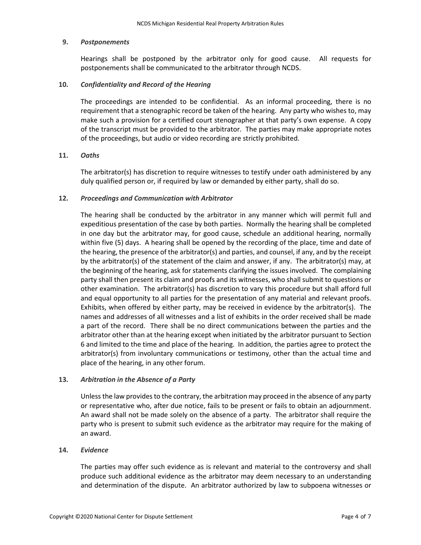#### **9.** *Postponements*

Hearings shall be postponed by the arbitrator only for good cause. All requests for postponements shall be communicated to the arbitrator through NCDS.

#### **10.** *Confidentiality and Record of the Hearing*

The proceedings are intended to be confidential. As an informal proceeding, there is no requirement that a stenographic record be taken of the hearing. Any party who wishes to, may make such a provision for a certified court stenographer at that party's own expense. A copy of the transcript must be provided to the arbitrator. The parties may make appropriate notes of the proceedings, but audio or video recording are strictly prohibited.

#### **11.** *Oaths*

The arbitrator(s) has discretion to require witnesses to testify under oath administered by any duly qualified person or, if required by law or demanded by either party, shall do so.

#### **12.** *Proceedings and Communication with Arbitrator*

The hearing shall be conducted by the arbitrator in any manner which will permit full and expeditious presentation of the case by both parties. Normally the hearing shall be completed in one day but the arbitrator may, for good cause, schedule an additional hearing, normally within five (5) days. A hearing shall be opened by the recording of the place, time and date of the hearing, the presence of the arbitrator(s) and parties, and counsel, if any, and by the receipt by the arbitrator(s) of the statement of the claim and answer, if any. The arbitrator(s) may, at the beginning of the hearing, ask for statements clarifying the issues involved. The complaining party shall then present its claim and proofs and its witnesses, who shall submit to questions or other examination. The arbitrator(s) has discretion to vary this procedure but shall afford full and equal opportunity to all parties for the presentation of any material and relevant proofs. Exhibits, when offered by either party, may be received in evidence by the arbitrator(s). The names and addresses of all witnesses and a list of exhibits in the order received shall be made a part of the record. There shall be no direct communications between the parties and the arbitrator other than at the hearing except when initiated by the arbitrator pursuant to Section [6](#page-2-1) and limited to the time and place of the hearing. In addition, the parties agree to protect the arbitrator(s) from involuntary communications or testimony, other than the actual time and place of the hearing, in any other forum.

#### <span id="page-3-0"></span>**13.** *Arbitration in the Absence of a Party*

Unless the law provides to the contrary, the arbitration may proceed in the absence of any party or representative who, after due notice, fails to be present or fails to obtain an adjournment. An award shall not be made solely on the absence of a party. The arbitrator shall require the party who is present to submit such evidence as the arbitrator may require for the making of an award.

#### **14.** *Evidence*

The parties may offer such evidence as is relevant and material to the controversy and shall produce such additional evidence as the arbitrator may deem necessary to an understanding and determination of the dispute. An arbitrator authorized by law to subpoena witnesses or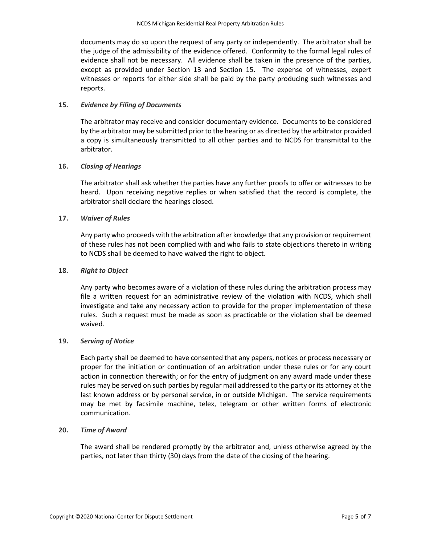documents may do so upon the request of any party or independently. The arbitrator shall be the judge of the admissibility of the evidence offered. Conformity to the formal legal rules of evidence shall not be necessary. All evidence shall be taken in the presence of the parties, except as provided under Section [13](#page-3-0) and Section [15.](#page-4-0) The expense of witnesses, expert witnesses or reports for either side shall be paid by the party producing such witnesses and reports.

### <span id="page-4-0"></span>**15.** *Evidence by Filing of Documents*

The arbitrator may receive and consider documentary evidence. Documents to be considered by the arbitrator may be submitted prior to the hearing or as directed by the arbitrator provided a copy is simultaneously transmitted to all other parties and to NCDS for transmittal to the arbitrator.

### **16.** *Closing of Hearings*

The arbitrator shall ask whether the parties have any further proofs to offer or witnesses to be heard. Upon receiving negative replies or when satisfied that the record is complete, the arbitrator shall declare the hearings closed.

### **17.** *Waiver of Rules*

Any party who proceeds with the arbitration after knowledge that any provision or requirement of these rules has not been complied with and who fails to state objections thereto in writing to NCDS shall be deemed to have waived the right to object.

# **18.** *Right to Object*

Any party who becomes aware of a violation of these rules during the arbitration process may file a written request for an administrative review of the violation with NCDS, which shall investigate and take any necessary action to provide for the proper implementation of these rules. Such a request must be made as soon as practicable or the violation shall be deemed waived.

#### **19.** *Serving of Notice*

Each party shall be deemed to have consented that any papers, notices or process necessary or proper for the initiation or continuation of an arbitration under these rules or for any court action in connection therewith; or for the entry of judgment on any award made under these rules may be served on such parties by regular mail addressed to the party or its attorney at the last known address or by personal service, in or outside Michigan. The service requirements may be met by facsimile machine, telex, telegram or other written forms of electronic communication.

#### **20.** *Time of Award*

The award shall be rendered promptly by the arbitrator and, unless otherwise agreed by the parties, not later than thirty (30) days from the date of the closing of the hearing.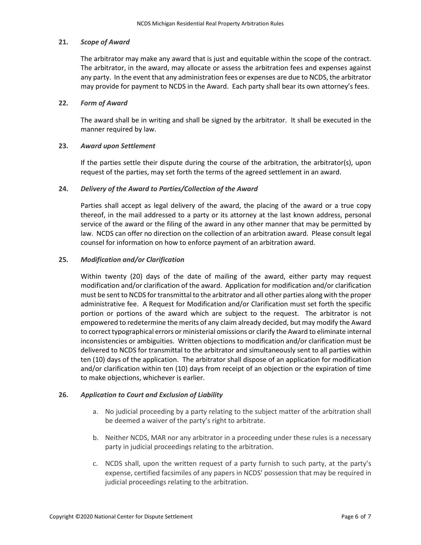### **21.** *Scope of Award*

The arbitrator may make any award that is just and equitable within the scope of the contract. The arbitrator, in the award, may allocate or assess the arbitration fees and expenses against any party. In the event that any administration fees or expenses are due to NCDS, the arbitrator may provide for payment to NCDS in the Award. Each party shall bear its own attorney's fees.

### **22.** *Form of Award*

The award shall be in writing and shall be signed by the arbitrator. It shall be executed in the manner required by law.

### **23.** *Award upon Settlement*

If the parties settle their dispute during the course of the arbitration, the arbitrator(s), upon request of the parties, may set forth the terms of the agreed settlement in an award.

### **24.** *Delivery of the Award to Parties/Collection of the Award*

Parties shall accept as legal delivery of the award, the placing of the award or a true copy thereof, in the mail addressed to a party or its attorney at the last known address, personal service of the award or the filing of the award in any other manner that may be permitted by law. NCDS can offer no direction on the collection of an arbitration award. Please consult legal counsel for information on how to enforce payment of an arbitration award.

### **25.** *Modification and/or Clarification*

Within twenty (20) days of the date of mailing of the award, either party may request modification and/or clarification of the award. Application for modification and/or clarification must be sent to NCDS for transmittal to the arbitrator and all other parties along with the proper administrative fee. A Request for Modification and/or Clarification must set forth the specific portion or portions of the award which are subject to the request. The arbitrator is not empowered to redetermine the merits of any claim already decided, but may modify the Award to correct typographical errors or ministerial omissions or clarify the Award to eliminate internal inconsistencies or ambiguities. Written objections to modification and/or clarification must be delivered to NCDS for transmittal to the arbitrator and simultaneously sent to all parties within ten (10) days of the application. The arbitrator shall dispose of an application for modification and/or clarification within ten (10) days from receipt of an objection or the expiration of time to make objections, whichever is earlier.

# **26.** *Application to Court and Exclusion of Liability*

- a. No judicial proceeding by a party relating to the subject matter of the arbitration shall be deemed a waiver of the party's right to arbitrate.
- b. Neither NCDS, MAR nor any arbitrator in a proceeding under these rules is a necessary party in judicial proceedings relating to the arbitration.
- c. NCDS shall, upon the written request of a party furnish to such party, at the party's expense, certified facsimiles of any papers in NCDS' possession that may be required in judicial proceedings relating to the arbitration.